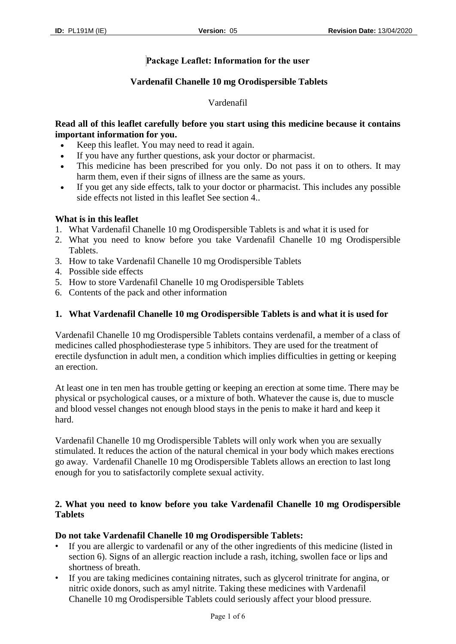# **Package Leaflet: Information for the user**

## **Vardenafil Chanelle 10 mg Orodispersible Tablets**

## Vardenafil

## **Read all of this leaflet carefully before you start using this medicine because it contains important information for you.**

- Keep this leaflet. You may need to read it again.
- If you have any further questions, ask your doctor or pharmacist.
- This medicine has been prescribed for you only. Do not pass it on to others. It may harm them, even if their signs of illness are the same as yours.
- If you get any side effects, talk to your doctor or pharmacist. This includes any possible side effects not listed in this leaflet See section 4..

## **What is in this leaflet**

- 1. What Vardenafil Chanelle 10 mg Orodispersible Tablets is and what it is used for
- 2. What you need to know before you take Vardenafil Chanelle 10 mg Orodispersible Tablets.
- 3. How to take Vardenafil Chanelle 10 mg Orodispersible Tablets
- 4. Possible side effects
- 5. How to store Vardenafil Chanelle 10 mg Orodispersible Tablets
- 6. Contents of the pack and other information

## **1. What Vardenafil Chanelle 10 mg Orodispersible Tablets is and what it is used for**

Vardenafil Chanelle 10 mg Orodispersible Tablets contains verdenafil, a member of a class of medicines called phosphodiesterase type 5 inhibitors. They are used for the treatment of erectile dysfunction in adult men, a condition which implies difficulties in getting or keeping an erection.

At least one in ten men has trouble getting or keeping an erection at some time. There may be physical or psychological causes, or a mixture of both. Whatever the cause is, due to muscle and blood vessel changes not enough blood stays in the penis to make it hard and keep it hard.

Vardenafil Chanelle 10 mg Orodispersible Tablets will only work when you are sexually stimulated. It reduces the action of the natural chemical in your body which makes erections go away. Vardenafil Chanelle 10 mg Orodispersible Tablets allows an erection to last long enough for you to satisfactorily complete sexual activity.

# **2. What you need to know before you take Vardenafil Chanelle 10 mg Orodispersible Tablets**

#### **Do not take Vardenafil Chanelle 10 mg Orodispersible Tablets:**

- If you are allergic to vardenafil or any of the other ingredients of this medicine (listed in section 6). Signs of an allergic reaction include a rash, itching, swollen face or lips and shortness of breath.
- If you are taking medicines containing nitrates, such as glycerol trinitrate for angina, or nitric oxide donors, such as amyl nitrite. Taking these medicines with Vardenafil Chanelle 10 mg Orodispersible Tablets could seriously affect your blood pressure.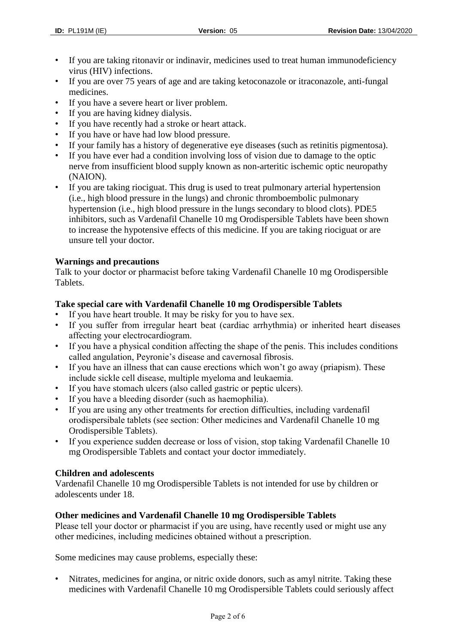- If you are taking ritonavir or indinavir, medicines used to treat human immunodeficiency virus (HIV) infections.
- If you are over 75 years of age and are taking ketoconazole or itraconazole, anti-fungal medicines.
- If you have a severe heart or liver problem.
- If you are having kidney dialysis.
- If you have recently had a stroke or heart attack.
- If you have or have had low blood pressure.
- If your family has a history of degenerative eye diseases (such as retinitis pigmentosa).
- If you have ever had a condition involving loss of vision due to damage to the optic nerve from insufficient blood supply known as non-arteritic ischemic optic neuropathy (NAION).
- If you are taking riociguat. This drug is used to treat pulmonary arterial hypertension (i.e., high blood pressure in the lungs) and chronic thromboembolic pulmonary hypertension (i.e., high blood pressure in the lungs secondary to blood clots). PDE5 inhibitors, such as Vardenafil Chanelle 10 mg Orodispersible Tablets have been shown to increase the hypotensive effects of this medicine. If you are taking riociguat or are unsure tell your doctor.

# **Warnings and precautions**

Talk to your doctor or pharmacist before taking Vardenafil Chanelle 10 mg Orodispersible Tablets.

# **Take special care with Vardenafil Chanelle 10 mg Orodispersible Tablets**

- If you have heart trouble. It may be risky for you to have sex.
- If you suffer from irregular heart beat (cardiac arrhythmia) or inherited heart diseases affecting your electrocardiogram.
- If you have a physical condition affecting the shape of the penis. This includes conditions called angulation, Peyronie's disease and cavernosal fibrosis.
- If you have an illness that can cause erections which won't go away (priapism). These include sickle cell disease, multiple myeloma and leukaemia.
- If you have stomach ulcers (also called gastric or peptic ulcers).
- If you have a bleeding disorder (such as haemophilia).
- If you are using any other treatments for erection difficulties, including vardenafil orodispersibale tablets (see section: Other medicines and Vardenafil Chanelle 10 mg Orodispersible Tablets).
- If you experience sudden decrease or loss of vision, stop taking Vardenafil Chanelle 10 mg Orodispersible Tablets and contact your doctor immediately.

# **Children and adolescents**

Vardenafil Chanelle 10 mg Orodispersible Tablets is not intended for use by children or adolescents under 18.

# **Other medicines and Vardenafil Chanelle 10 mg Orodispersible Tablets**

Please tell your doctor or pharmacist if you are using, have recently used or might use any other medicines, including medicines obtained without a prescription.

Some medicines may cause problems, especially these:

• Nitrates, medicines for angina, or nitric oxide donors, such as amyl nitrite. Taking these medicines with Vardenafil Chanelle 10 mg Orodispersible Tablets could seriously affect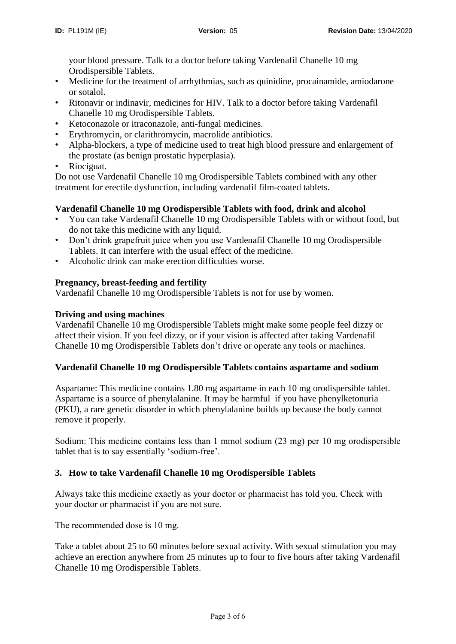your blood pressure. Talk to a doctor before taking Vardenafil Chanelle 10 mg Orodispersible Tablets.

- Medicine for the treatment of arrhythmias, such as quinidine, procainamide, amiodarone or sotalol.
- Ritonavir or indinavir, medicines for HIV. Talk to a doctor before taking Vardenafil Chanelle 10 mg Orodispersible Tablets.
- Ketoconazole or itraconazole, anti-fungal medicines.
- Erythromycin, or clarithromycin, macrolide antibiotics.
- Alpha-blockers, a type of medicine used to treat high blood pressure and enlargement of the prostate (as benign prostatic hyperplasia).
- Riociguat.

Do not use Vardenafil Chanelle 10 mg Orodispersible Tablets combined with any other treatment for erectile dysfunction, including vardenafil film-coated tablets.

## **Vardenafil Chanelle 10 mg Orodispersible Tablets with food, drink and alcohol**

- You can take Vardenafil Chanelle 10 mg Orodispersible Tablets with or without food, but do not take this medicine with any liquid.
- Don't drink grapefruit juice when you use Vardenafil Chanelle 10 mg Orodispersible Tablets. It can interfere with the usual effect of the medicine.
- Alcoholic drink can make erection difficulties worse.

## **Pregnancy, breast-feeding and fertility**

Vardenafil Chanelle 10 mg Orodispersible Tablets is not for use by women.

## **Driving and using machines**

Vardenafil Chanelle 10 mg Orodispersible Tablets might make some people feel dizzy or affect their vision. If you feel dizzy, or if your vision is affected after taking Vardenafil Chanelle 10 mg Orodispersible Tablets don't drive or operate any tools or machines.

#### **Vardenafil Chanelle 10 mg Orodispersible Tablets contains aspartame and sodium**

Aspartame: This medicine contains 1.80 mg aspartame in each 10 mg orodispersible tablet. Aspartame is a source of phenylalanine. It may be harmful if you have phenylketonuria (PKU), a rare genetic disorder in which phenylalanine builds up because the body cannot remove it properly.

Sodium: This medicine contains less than 1 mmol sodium (23 mg) per 10 mg orodispersible tablet that is to say essentially 'sodium-free'.

# **3. How to take Vardenafil Chanelle 10 mg Orodispersible Tablets**

Always take this medicine exactly as your doctor or pharmacist has told you. Check with your doctor or pharmacist if you are not sure.

The recommended dose is 10 mg.

Take a tablet about 25 to 60 minutes before sexual activity. With sexual stimulation you may achieve an erection anywhere from 25 minutes up to four to five hours after taking Vardenafil Chanelle 10 mg Orodispersible Tablets.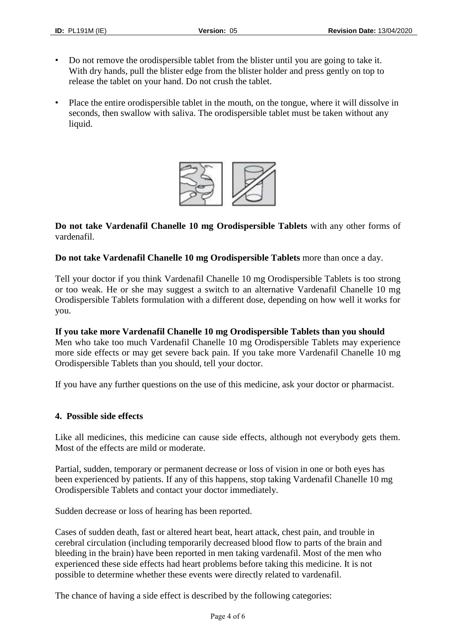- Do not remove the orodispersible tablet from the blister until you are going to take it. With dry hands, pull the blister edge from the blister holder and press gently on top to release the tablet on your hand. Do not crush the tablet.
- Place the entire orodispersible tablet in the mouth, on the tongue, where it will dissolve in seconds, then swallow with saliva. The orodispersible tablet must be taken without any liquid.



**Do not take Vardenafil Chanelle 10 mg Orodispersible Tablets** with any other forms of vardenafil.

**Do not take Vardenafil Chanelle 10 mg Orodispersible Tablets** more than once a day.

Tell your doctor if you think Vardenafil Chanelle 10 mg Orodispersible Tablets is too strong or too weak. He or she may suggest a switch to an alternative Vardenafil Chanelle 10 mg Orodispersible Tablets formulation with a different dose, depending on how well it works for you.

**If you take more Vardenafil Chanelle 10 mg Orodispersible Tablets than you should** Men who take too much Vardenafil Chanelle 10 mg Orodispersible Tablets may experience more side effects or may get severe back pain. If you take more Vardenafil Chanelle 10 mg Orodispersible Tablets than you should, tell your doctor.

If you have any further questions on the use of this medicine, ask your doctor or pharmacist.

#### **4. Possible side effects**

Like all medicines, this medicine can cause side effects, although not everybody gets them. Most of the effects are mild or moderate.

Partial, sudden, temporary or permanent decrease or loss of vision in one or both eyes has been experienced by patients. If any of this happens, stop taking Vardenafil Chanelle 10 mg Orodispersible Tablets and contact your doctor immediately.

Sudden decrease or loss of hearing has been reported.

Cases of sudden death, fast or altered heart beat, heart attack, chest pain, and trouble in cerebral circulation (including temporarily decreased blood flow to parts of the brain and bleeding in the brain) have been reported in men taking vardenafil. Most of the men who experienced these side effects had heart problems before taking this medicine. It is not possible to determine whether these events were directly related to vardenafil.

The chance of having a side effect is described by the following categories: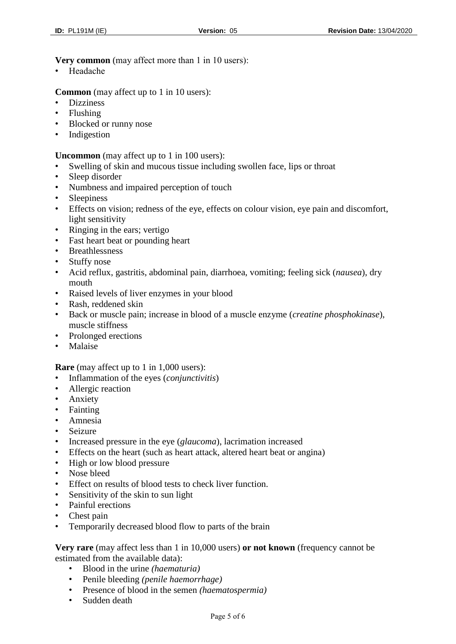#### **Very common** (may affect more than 1 in 10 users):

• Headache

**Common** (may affect up to 1 in 10 users):

- Dizziness
- Flushing
- Blocked or runny nose
- Indigestion

**Uncommon** (may affect up to 1 in 100 users):

- Swelling of skin and mucous tissue including swollen face, lips or throat
- Sleep disorder
- Numbness and impaired perception of touch
- Sleepiness
- Effects on vision; redness of the eye, effects on colour vision, eye pain and discomfort, light sensitivity
- Ringing in the ears; vertigo
- Fast heart beat or pounding heart
- Breathlessness
- Stuffy nose
- Acid reflux, gastritis, abdominal pain, diarrhoea, vomiting; feeling sick (*nausea*), dry mouth
- Raised levels of liver enzymes in your blood
- Rash, reddened skin
- Back or muscle pain; increase in blood of a muscle enzyme (*creatine phosphokinase*), muscle stiffness
- Prolonged erections
- Malaise

**Rare** (may affect up to 1 in 1,000 users):

- Inflammation of the eyes (*conjunctivitis*)
- Allergic reaction
- Anxiety
- Fainting
- Amnesia
- Seizure
- Increased pressure in the eye (*glaucoma*), lacrimation increased
- Effects on the heart (such as heart attack, altered heart beat or angina)
- High or low blood pressure
- Nose bleed
- Effect on results of blood tests to check liver function.
- Sensitivity of the skin to sun light
- Painful erections
- Chest pain
- Temporarily decreased blood flow to parts of the brain

**Very rare** (may affect less than 1 in 10,000 users) **or not known** (frequency cannot be estimated from the available data):

- Blood in the urine *(haematuria)*
- Penile bleeding *(penile haemorrhage)*
- Presence of blood in the semen *(haematospermia)*
- Sudden death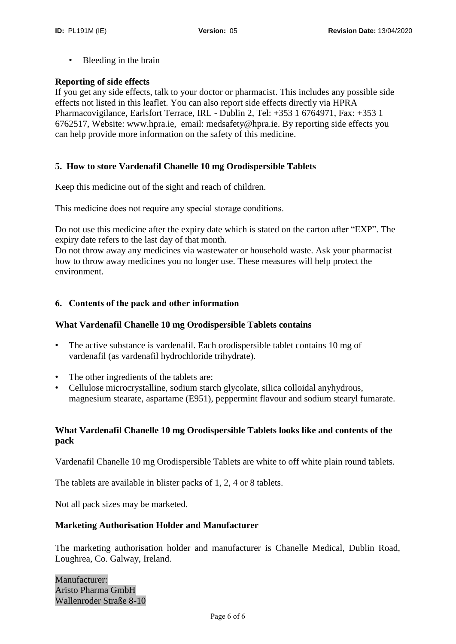• Bleeding in the brain

#### **Reporting of side effects**

If you get any side effects, talk to your doctor or pharmacist. This includes any possible side effects not listed in this leaflet. You can also report side effects directly via HPRA Pharmacovigilance, Earlsfort Terrace, IRL - Dublin 2, Tel: +353 1 6764971, Fax: +353 1 6762517, Website: www.hpra.ie, email: medsafety@hpra.ie. By reporting side effects you can help provide more information on the safety of this medicine.

# **5. How to store Vardenafil Chanelle 10 mg Orodispersible Tablets**

Keep this medicine out of the sight and reach of children.

This medicine does not require any special storage conditions.

Do not use this medicine after the expiry date which is stated on the carton after "EXP". The expiry date refers to the last day of that month.

Do not throw away any medicines via wastewater or household waste. Ask your pharmacist how to throw away medicines you no longer use. These measures will help protect the environment.

## **6. Contents of the pack and other information**

#### **What Vardenafil Chanelle 10 mg Orodispersible Tablets contains**

- The active substance is vardenafil. Each orodispersible tablet contains 10 mg of vardenafil (as vardenafil hydrochloride trihydrate).
- The other ingredients of the tablets are:
- Cellulose microcrystalline, sodium starch glycolate, silica colloidal anyhydrous, magnesium stearate, aspartame (E951), peppermint flavour and sodium stearyl fumarate.

# **What Vardenafil Chanelle 10 mg Orodispersible Tablets looks like and contents of the pack**

Vardenafil Chanelle 10 mg Orodispersible Tablets are white to off white plain round tablets.

The tablets are available in blister packs of 1, 2, 4 or 8 tablets.

Not all pack sizes may be marketed.

#### **Marketing Authorisation Holder and Manufacturer**

The marketing authorisation holder and manufacturer is Chanelle Medical, Dublin Road, Loughrea, Co. Galway, Ireland.

Manufacturer: Aristo Pharma GmbH Wallenroder Straße 8-10